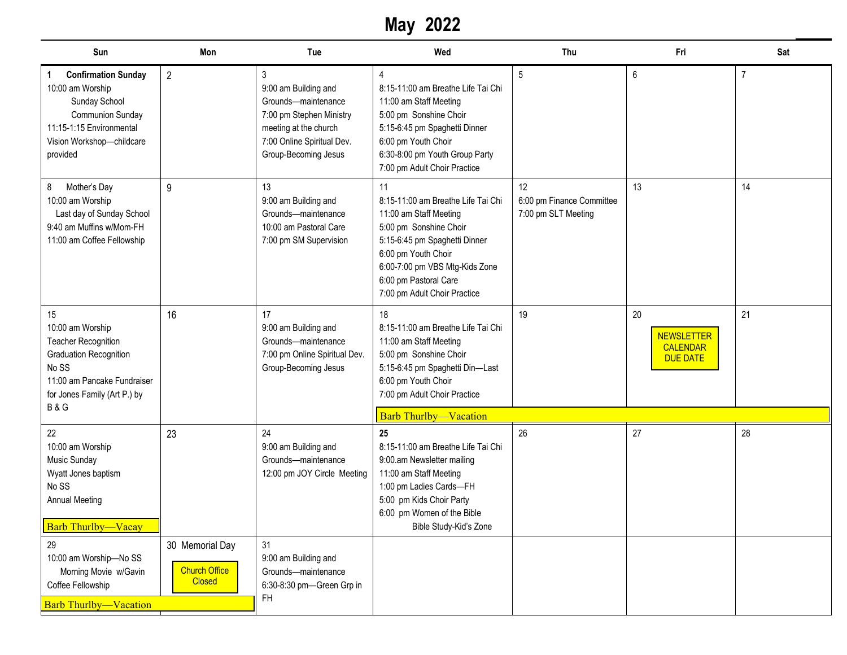## **May 2022**

| Sun                                                                                                                                                                      | Mon                                   | Tue                                                                                                                                                                      | Wed                                                                                                                                                                                                                                             | Thu                                                    | Fri                                                           | Sat            |
|--------------------------------------------------------------------------------------------------------------------------------------------------------------------------|---------------------------------------|--------------------------------------------------------------------------------------------------------------------------------------------------------------------------|-------------------------------------------------------------------------------------------------------------------------------------------------------------------------------------------------------------------------------------------------|--------------------------------------------------------|---------------------------------------------------------------|----------------|
| <b>Confirmation Sunday</b><br>1<br>10:00 am Worship<br>Sunday School<br><b>Communion Sunday</b><br>11:15-1:15 Environmental<br>Vision Workshop-childcare<br>provided     | $\overline{2}$                        | $\mathfrak{Z}$<br>9:00 am Building and<br>Grounds-maintenance<br>7:00 pm Stephen Ministry<br>meeting at the church<br>7:00 Online Spiritual Dev.<br>Group-Becoming Jesus | 4<br>8:15-11:00 am Breathe Life Tai Chi<br>11:00 am Staff Meeting<br>5:00 pm Sonshine Choir<br>5:15-6:45 pm Spaghetti Dinner<br>6:00 pm Youth Choir<br>6:30-8:00 pm Youth Group Party<br>7:00 pm Adult Choir Practice                           | 5                                                      | $\,6\,$                                                       | $\overline{7}$ |
| Mother's Day<br>8<br>10:00 am Worship<br>Last day of Sunday School<br>9:40 am Muffins w/Mom-FH<br>11:00 am Coffee Fellowship                                             | 9                                     | 13<br>9:00 am Building and<br>Grounds-maintenance<br>10:00 am Pastoral Care<br>7:00 pm SM Supervision                                                                    | 11<br>8:15-11:00 am Breathe Life Tai Chi<br>11:00 am Staff Meeting<br>5:00 pm Sonshine Choir<br>5:15-6:45 pm Spaghetti Dinner<br>6:00 pm Youth Choir<br>6:00-7:00 pm VBS Mtg-Kids Zone<br>6:00 pm Pastoral Care<br>7:00 pm Adult Choir Practice | 12<br>6:00 pm Finance Committee<br>7:00 pm SLT Meeting | 13                                                            | 14             |
| 15<br>10:00 am Worship<br><b>Teacher Recognition</b><br>Graduation Recognition<br>No SS<br>11:00 am Pancake Fundraiser<br>for Jones Family (Art P.) by<br><b>B&amp;G</b> | 16                                    | 17<br>9:00 am Building and<br>Grounds-maintenance<br>7:00 pm Online Spiritual Dev.<br>Group-Becoming Jesus                                                               | 18<br>8:15-11:00 am Breathe Life Tai Chi<br>11:00 am Staff Meeting<br>5:00 pm Sonshine Choir<br>5:15-6:45 pm Spaghetti Din-Last<br>6:00 pm Youth Choir<br>7:00 pm Adult Choir Practice                                                          | 19                                                     | 20<br><b>NEWSLETTER</b><br><b>CALENDAR</b><br><b>DUE DATE</b> | 21             |
| 22                                                                                                                                                                       | 23                                    | 24                                                                                                                                                                       | <b>Barb Thurlby-Vacation</b><br>25                                                                                                                                                                                                              | 26                                                     | 27                                                            | 28             |
| 10:00 am Worship<br>Music Sunday<br>Wyatt Jones baptism<br>No SS<br><b>Annual Meeting</b><br><b>Barb Thurlby-Vacay</b>                                                   |                                       | 9:00 am Building and<br>Grounds-maintenance<br>12:00 pm JOY Circle Meeting                                                                                               | 8:15-11:00 am Breathe Life Tai Chi<br>9:00.am Newsletter mailing<br>11:00 am Staff Meeting<br>1:00 pm Ladies Cards-FH<br>5:00 pm Kids Choir Party<br>6:00 pm Women of the Bible<br>Bible Study-Kid's Zone                                       |                                                        |                                                               |                |
| 29<br>10:00 am Worship-No SS                                                                                                                                             | 30 Memorial Day                       | 31<br>9:00 am Building and                                                                                                                                               |                                                                                                                                                                                                                                                 |                                                        |                                                               |                |
| Morning Movie w/Gavin<br>Coffee Fellowship                                                                                                                               | <b>Church Office</b><br><b>Closed</b> | Grounds-maintenance<br>6:30-8:30 pm-Green Grp in                                                                                                                         |                                                                                                                                                                                                                                                 |                                                        |                                                               |                |
| <b>Barb Thurlby-Vacation</b>                                                                                                                                             |                                       | <b>FH</b>                                                                                                                                                                |                                                                                                                                                                                                                                                 |                                                        |                                                               |                |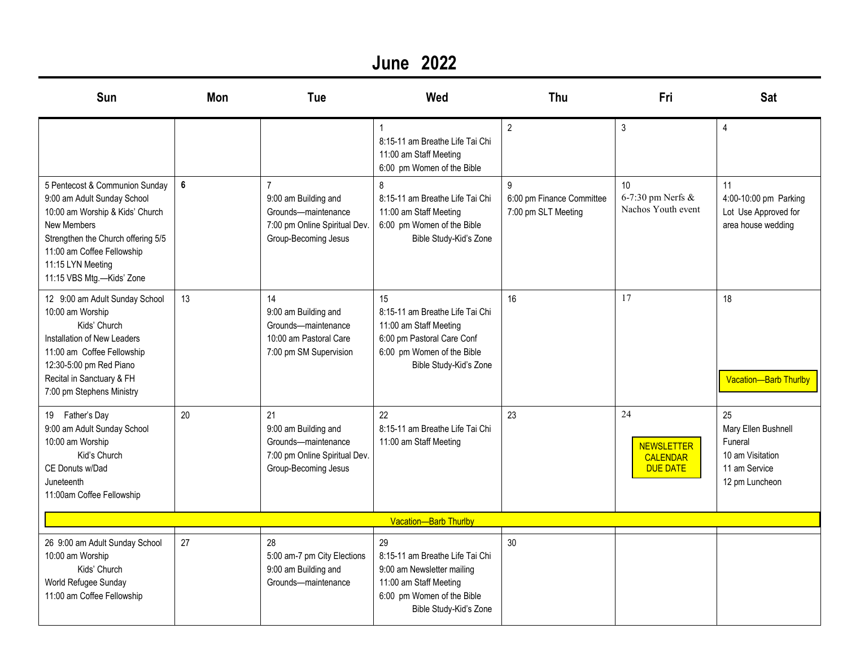### **June 2022**

| Sun                                                                                                                                                                                                                                          | Mon | Tue                                                                                                        | Wed                                                                                                                                                   | Thu                                                   | Fri                                                           | <b>Sat</b>                                                                                  |
|----------------------------------------------------------------------------------------------------------------------------------------------------------------------------------------------------------------------------------------------|-----|------------------------------------------------------------------------------------------------------------|-------------------------------------------------------------------------------------------------------------------------------------------------------|-------------------------------------------------------|---------------------------------------------------------------|---------------------------------------------------------------------------------------------|
|                                                                                                                                                                                                                                              |     |                                                                                                            | 8:15-11 am Breathe Life Tai Chi<br>11:00 am Staff Meeting<br>6:00 pm Women of the Bible                                                               | $\overline{2}$                                        | 3                                                             | $\overline{4}$                                                                              |
| 5 Pentecost & Communion Sunday<br>9:00 am Adult Sunday School<br>10:00 am Worship & Kids' Church<br><b>New Members</b><br>Strengthen the Church offering 5/5<br>11:00 am Coffee Fellowship<br>11:15 LYN Meeting<br>11:15 VBS Mtg.-Kids' Zone | 6   | 9:00 am Building and<br>Grounds-maintenance<br>7:00 pm Online Spiritual Dev.<br>Group-Becoming Jesus       | 8<br>8:15-11 am Breathe Life Tai Chi<br>11:00 am Staff Meeting<br>6:00 pm Women of the Bible<br>Bible Study-Kid's Zone                                | 9<br>6:00 pm Finance Committee<br>7:00 pm SLT Meeting | 10 <sup>1</sup><br>6-7:30 pm Nerfs &<br>Nachos Youth event    | 11<br>4:00-10:00 pm Parking<br>Lot Use Approved for<br>area house wedding                   |
| 12 9:00 am Adult Sunday School<br>10:00 am Worship<br>Kids' Church<br>Installation of New Leaders<br>11:00 am Coffee Fellowship<br>12:30-5:00 pm Red Piano<br>Recital in Sanctuary & FH<br>7:00 pm Stephens Ministry                         | 13  | 14<br>9:00 am Building and<br>Grounds-maintenance<br>10:00 am Pastoral Care<br>7:00 pm SM Supervision      | 15<br>8:15-11 am Breathe Life Tai Chi<br>11:00 am Staff Meeting<br>6:00 pm Pastoral Care Conf<br>6:00 pm Women of the Bible<br>Bible Study-Kid's Zone | 16                                                    | 17                                                            | 18<br><b>Vacation-Barb Thurlby</b>                                                          |
| 19 Father's Day<br>9:00 am Adult Sunday School<br>10:00 am Worship<br>Kid's Church<br>CE Donuts w/Dad<br>Juneteenth<br>11:00am Coffee Fellowship                                                                                             | 20  | 21<br>9:00 am Building and<br>Grounds-maintenance<br>7:00 pm Online Spiritual Dev.<br>Group-Becoming Jesus | 22<br>8:15-11 am Breathe Life Tai Chi<br>11:00 am Staff Meeting                                                                                       | 23                                                    | 24<br><b>NEWSLETTER</b><br><b>CALENDAR</b><br><b>DUE DATE</b> | 25<br>Mary Ellen Bushnell<br>Funeral<br>10 am Visitation<br>11 am Service<br>12 pm Luncheon |
|                                                                                                                                                                                                                                              |     |                                                                                                            | <b>Vacation-Barb Thurlby</b>                                                                                                                          |                                                       |                                                               |                                                                                             |
| 26 9:00 am Adult Sunday School<br>10:00 am Worship<br>Kids' Church<br>World Refugee Sunday<br>11:00 am Coffee Fellowship                                                                                                                     | 27  | 28<br>5:00 am-7 pm City Elections<br>9:00 am Building and<br>Grounds-maintenance                           | 29<br>8:15-11 am Breathe Life Tai Chi<br>9:00 am Newsletter mailing<br>11:00 am Staff Meeting<br>6:00 pm Women of the Bible<br>Bible Study-Kid's Zone | 30                                                    |                                                               |                                                                                             |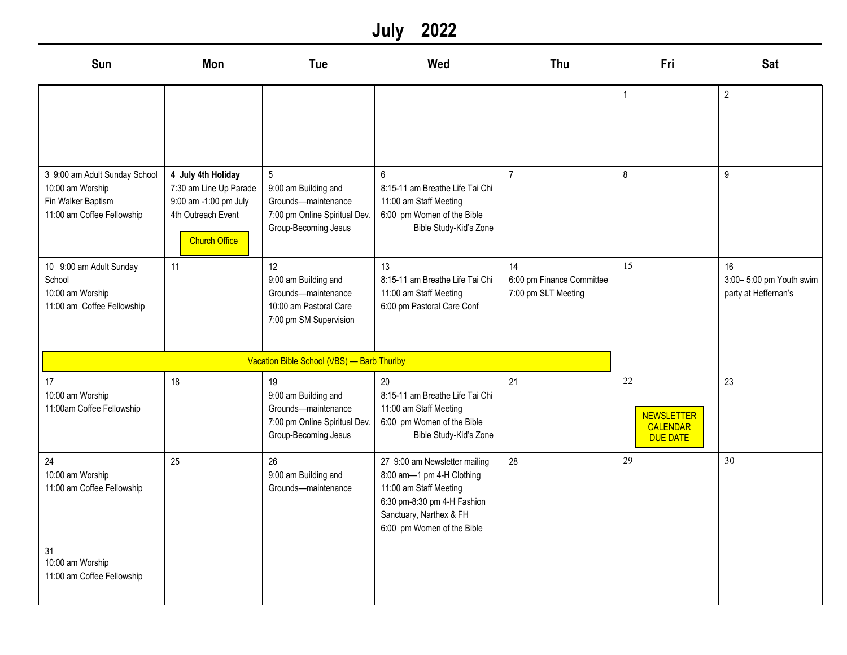## **July 2022**

| Sun                                                                                                   | Mon                                                                                                                 | Tue                                                                                                                     | Wed                                                                                                                                                                          | Thu                                                    | Fri                                                           | <b>Sat</b>                                            |
|-------------------------------------------------------------------------------------------------------|---------------------------------------------------------------------------------------------------------------------|-------------------------------------------------------------------------------------------------------------------------|------------------------------------------------------------------------------------------------------------------------------------------------------------------------------|--------------------------------------------------------|---------------------------------------------------------------|-------------------------------------------------------|
|                                                                                                       |                                                                                                                     |                                                                                                                         |                                                                                                                                                                              |                                                        | 1                                                             | $\overline{2}$                                        |
| 3 9:00 am Adult Sunday School<br>10:00 am Worship<br>Fin Walker Baptism<br>11:00 am Coffee Fellowship | 4 July 4th Holiday<br>7:30 am Line Up Parade<br>9:00 am -1:00 pm July<br>4th Outreach Event<br><b>Church Office</b> | $5\overline{)}$<br>9:00 am Building and<br>Grounds-maintenance<br>7:00 pm Online Spiritual Dev.<br>Group-Becoming Jesus | 6<br>8:15-11 am Breathe Life Tai Chi<br>11:00 am Staff Meeting<br>6:00 pm Women of the Bible<br>Bible Study-Kid's Zone                                                       | $\overline{7}$                                         | 8                                                             | $\boldsymbol{9}$                                      |
| 10 9:00 am Adult Sunday<br>School<br>10:00 am Worship<br>11:00 am Coffee Fellowship                   | 11                                                                                                                  | 12<br>9:00 am Building and<br>Grounds-maintenance<br>10:00 am Pastoral Care<br>7:00 pm SM Supervision                   | 13<br>8:15-11 am Breathe Life Tai Chi<br>11:00 am Staff Meeting<br>6:00 pm Pastoral Care Conf                                                                                | 14<br>6:00 pm Finance Committee<br>7:00 pm SLT Meeting | 15                                                            | 16<br>3:00-5:00 pm Youth swim<br>party at Heffernan's |
|                                                                                                       |                                                                                                                     | Vacation Bible School (VBS) - Barb Thurlby                                                                              |                                                                                                                                                                              |                                                        |                                                               |                                                       |
| 17<br>10:00 am Worship<br>11:00am Coffee Fellowship                                                   | 18                                                                                                                  | 19<br>9:00 am Building and<br>Grounds-maintenance<br>7:00 pm Online Spiritual Dev.<br>Group-Becoming Jesus              | 20<br>8:15-11 am Breathe Life Tai Chi<br>11:00 am Staff Meeting<br>6:00 pm Women of the Bible<br>Bible Study-Kid's Zone                                                      | 21                                                     | 22<br><b>NEWSLETTER</b><br><b>CALENDAR</b><br><b>DUE DATE</b> | 23                                                    |
| 24<br>10:00 am Worship<br>11:00 am Coffee Fellowship                                                  | 25                                                                                                                  | 26<br>9:00 am Building and<br>Grounds-maintenance                                                                       | 27 9:00 am Newsletter mailing<br>8:00 am-1 pm 4-H Clothing<br>11:00 am Staff Meeting<br>6:30 pm-8:30 pm 4-H Fashion<br>Sanctuary, Narthex & FH<br>6:00 pm Women of the Bible | 28                                                     | 29                                                            | 30                                                    |
| 31<br>10:00 am Worship<br>11:00 am Coffee Fellowship                                                  |                                                                                                                     |                                                                                                                         |                                                                                                                                                                              |                                                        |                                                               |                                                       |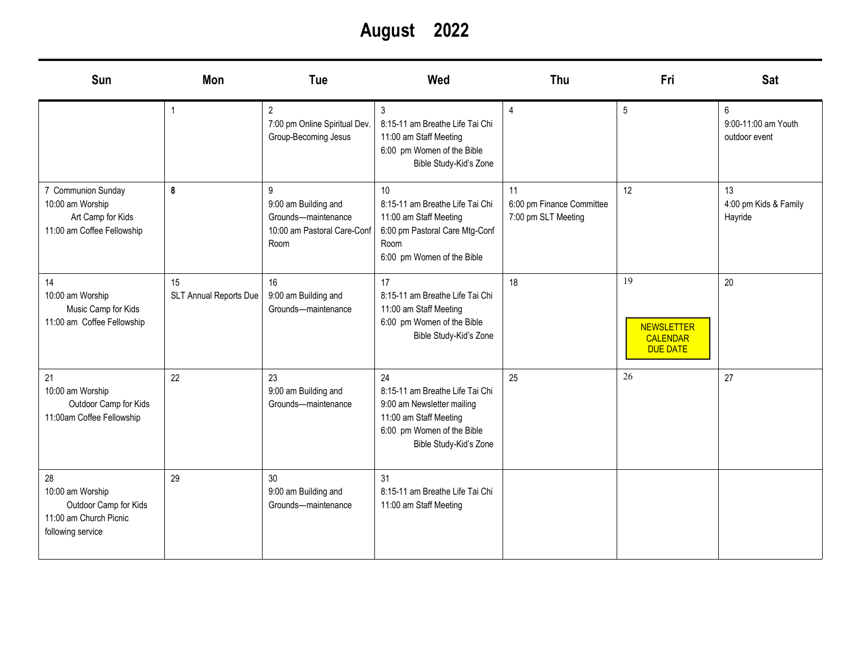**August 2022**

| Sun                                                                                            | <b>Mon</b>                   | Tue                                                                                     | Wed                                                                                                                                                   | Thu                                                    | Fri                                                           | <b>Sat</b>                                |
|------------------------------------------------------------------------------------------------|------------------------------|-----------------------------------------------------------------------------------------|-------------------------------------------------------------------------------------------------------------------------------------------------------|--------------------------------------------------------|---------------------------------------------------------------|-------------------------------------------|
|                                                                                                |                              | $\overline{2}$<br>7:00 pm Online Spiritual Dev.<br>Group-Becoming Jesus                 | 3<br>8:15-11 am Breathe Life Tai Chi<br>11:00 am Staff Meeting<br>6:00 pm Women of the Bible<br>Bible Study-Kid's Zone                                | 4                                                      | 5                                                             | 6<br>9:00-11:00 am Youth<br>outdoor event |
| 7 Communion Sunday<br>10:00 am Worship<br>Art Camp for Kids<br>11:00 am Coffee Fellowship      | 8                            | 9<br>9:00 am Building and<br>Grounds-maintenance<br>10:00 am Pastoral Care-Conf<br>Room | 10<br>8:15-11 am Breathe Life Tai Chi<br>11:00 am Staff Meeting<br>6:00 pm Pastoral Care Mtg-Conf<br>Room<br>6:00 pm Women of the Bible               | 11<br>6:00 pm Finance Committee<br>7:00 pm SLT Meeting | 12                                                            | 13<br>4:00 pm Kids & Family<br>Hayride    |
| 14<br>10:00 am Worship<br>Music Camp for Kids<br>11:00 am Coffee Fellowship                    | 15<br>SLT Annual Reports Due | 16<br>9:00 am Building and<br>Grounds-maintenance                                       | 17<br>8:15-11 am Breathe Life Tai Chi<br>11:00 am Staff Meeting<br>6:00 pm Women of the Bible<br>Bible Study-Kid's Zone                               | 18                                                     | 19<br><b>NEWSLETTER</b><br><b>CALENDAR</b><br><b>DUE DATE</b> | 20                                        |
| 21<br>10:00 am Worship<br>Outdoor Camp for Kids<br>11:00am Coffee Fellowship                   | 22                           | 23<br>9:00 am Building and<br>Grounds-maintenance                                       | 24<br>8:15-11 am Breathe Life Tai Chi<br>9:00 am Newsletter mailing<br>11:00 am Staff Meeting<br>6:00 pm Women of the Bible<br>Bible Study-Kid's Zone | 25                                                     | 26                                                            | 27                                        |
| 28<br>10:00 am Worship<br>Outdoor Camp for Kids<br>11:00 am Church Picnic<br>following service | 29                           | 30<br>9:00 am Building and<br>Grounds-maintenance                                       | 31<br>8:15-11 am Breathe Life Tai Chi<br>11:00 am Staff Meeting                                                                                       |                                                        |                                                               |                                           |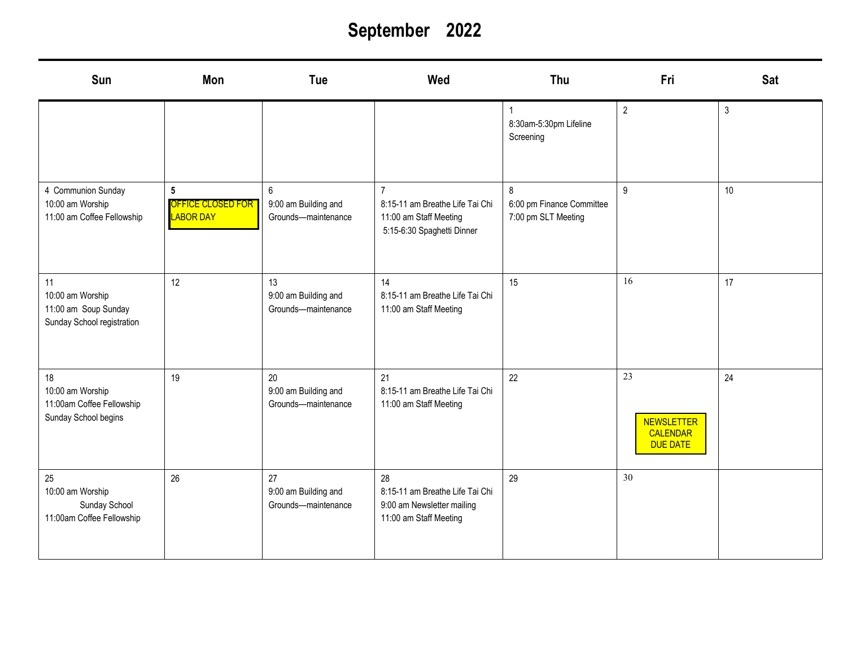# **September 2022**

| Sun                                                                          | Mon                                                      | Tue                                                           | Wed                                                                                                       | Thu                                                   | Fri                                                    | <b>Sat</b>   |
|------------------------------------------------------------------------------|----------------------------------------------------------|---------------------------------------------------------------|-----------------------------------------------------------------------------------------------------------|-------------------------------------------------------|--------------------------------------------------------|--------------|
|                                                                              |                                                          |                                                               |                                                                                                           | 8:30am-5:30pm Lifeline<br>Screening                   | $\overline{2}$                                         | $\mathbf{3}$ |
| 4 Communion Sunday<br>10:00 am Worship<br>11:00 am Coffee Fellowship         | $5\phantom{.0}$<br>OFFICE CLOSED FOR<br><b>LABOR DAY</b> | $6\phantom{a}$<br>9:00 am Building and<br>Grounds-maintenance | $\overline{7}$<br>8:15-11 am Breathe Life Tai Chi<br>11:00 am Staff Meeting<br>5:15-6:30 Spaghetti Dinner | 8<br>6:00 pm Finance Committee<br>7:00 pm SLT Meeting | $\boldsymbol{9}$                                       | $10$         |
| 11<br>10:00 am Worship<br>11:00 am Soup Sunday<br>Sunday School registration | 12                                                       | 13<br>9:00 am Building and<br>Grounds-maintenance             | 14<br>8:15-11 am Breathe Life Tai Chi<br>11:00 am Staff Meeting                                           | 15                                                    | 16                                                     | 17           |
| 18<br>10:00 am Worship<br>11:00am Coffee Fellowship<br>Sunday School begins  | 19                                                       | 20<br>9:00 am Building and<br>Grounds-maintenance             | 21<br>8:15-11 am Breathe Life Tai Chi<br>11:00 am Staff Meeting                                           | 22                                                    | 23<br><b>NEWSLETTER</b><br>CALENDAR<br><b>DUE DATE</b> | 24           |
| 25<br>10:00 am Worship<br>Sunday School<br>11:00am Coffee Fellowship         | 26                                                       | 27<br>9:00 am Building and<br>Grounds-maintenance             | 28<br>8:15-11 am Breathe Life Tai Chi<br>9:00 am Newsletter mailing<br>11:00 am Staff Meeting             | 29                                                    | 30                                                     |              |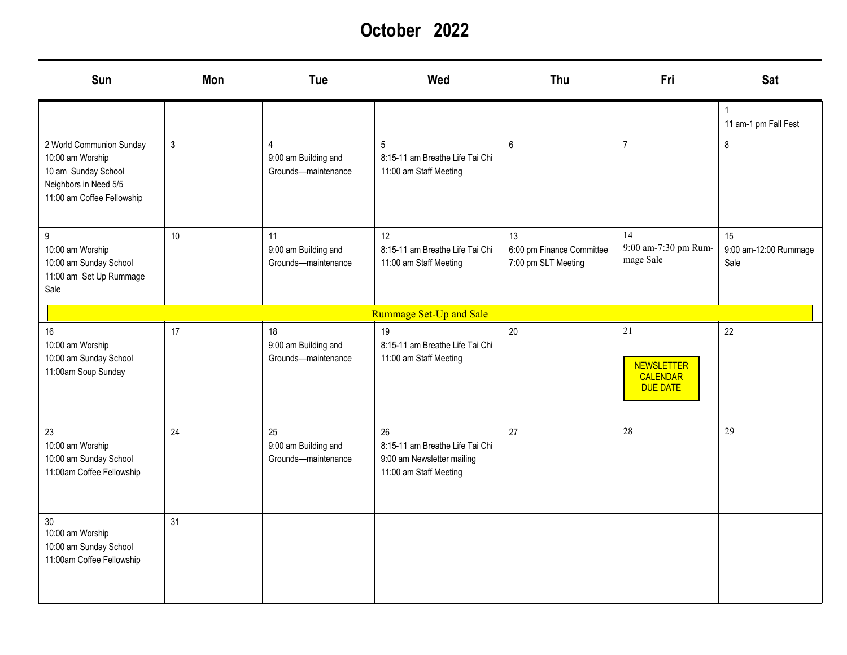**October 2022**

| Sun                                                                                                                        | Mon          | Tue                                                           | Wed                                                                                           | Thu                                                    | Fri                                                           | <b>Sat</b>                          |
|----------------------------------------------------------------------------------------------------------------------------|--------------|---------------------------------------------------------------|-----------------------------------------------------------------------------------------------|--------------------------------------------------------|---------------------------------------------------------------|-------------------------------------|
|                                                                                                                            |              |                                                               |                                                                                               |                                                        |                                                               | 11 am-1 pm Fall Fest                |
| 2 World Communion Sunday<br>10:00 am Worship<br>10 am Sunday School<br>Neighbors in Need 5/5<br>11:00 am Coffee Fellowship | $\mathbf{3}$ | $\overline{4}$<br>9:00 am Building and<br>Grounds-maintenance | 5<br>8:15-11 am Breathe Life Tai Chi<br>11:00 am Staff Meeting                                | 6                                                      | $\overline{7}$                                                | 8                                   |
| 9<br>10:00 am Worship<br>10:00 am Sunday School<br>11:00 am Set Up Rummage<br>Sale                                         | 10           | 11<br>9:00 am Building and<br>Grounds-maintenance             | 12<br>8:15-11 am Breathe Life Tai Chi<br>11:00 am Staff Meeting                               | 13<br>6:00 pm Finance Committee<br>7:00 pm SLT Meeting | 14<br>9:00 am-7:30 pm Rum-<br>mage Sale                       | 15<br>9:00 am-12:00 Rummage<br>Sale |
|                                                                                                                            |              |                                                               | Rummage Set-Up and Sale                                                                       |                                                        |                                                               |                                     |
| 16<br>10:00 am Worship<br>10:00 am Sunday School<br>11:00am Soup Sunday                                                    | 17           | 18<br>9:00 am Building and<br>Grounds-maintenance             | 19<br>8:15-11 am Breathe Life Tai Chi<br>11:00 am Staff Meeting                               | 20                                                     | 21<br><b>NEWSLETTER</b><br><b>CALENDAR</b><br><b>DUE DATE</b> | 22                                  |
| 23<br>10:00 am Worship<br>10:00 am Sunday School<br>11:00am Coffee Fellowship                                              | 24           | 25<br>9:00 am Building and<br>Grounds-maintenance             | 26<br>8:15-11 am Breathe Life Tai Chi<br>9:00 am Newsletter mailing<br>11:00 am Staff Meeting | 27                                                     | 28                                                            | 29                                  |
| 30 <sub>o</sub><br>10:00 am Worship<br>10:00 am Sunday School<br>11:00am Coffee Fellowship                                 | 31           |                                                               |                                                                                               |                                                        |                                                               |                                     |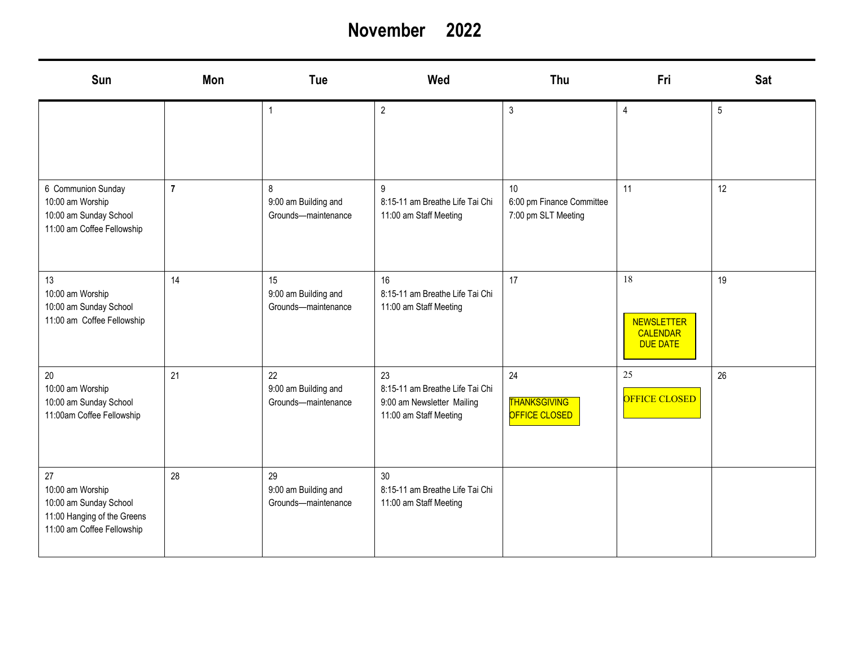### **November 2022**

| Sun                                                                                                           | <b>Mon</b>     | Tue                                               | Wed                                                                                           | Thu                                                    | Fri                                                    | <b>Sat</b> |
|---------------------------------------------------------------------------------------------------------------|----------------|---------------------------------------------------|-----------------------------------------------------------------------------------------------|--------------------------------------------------------|--------------------------------------------------------|------------|
|                                                                                                               |                | $\mathbf{1}$                                      | $\overline{2}$                                                                                | $\mathfrak{Z}$                                         | $\overline{4}$                                         | $\sqrt{5}$ |
| 6 Communion Sunday<br>10:00 am Worship<br>10:00 am Sunday School<br>11:00 am Coffee Fellowship                | $\overline{7}$ | 8<br>9:00 am Building and<br>Grounds-maintenance  | $\boldsymbol{9}$<br>8:15-11 am Breathe Life Tai Chi<br>11:00 am Staff Meeting                 | 10<br>6:00 pm Finance Committee<br>7:00 pm SLT Meeting | 11                                                     | 12         |
| 13<br>10:00 am Worship<br>10:00 am Sunday School<br>11:00 am Coffee Fellowship                                | 14             | 15<br>9:00 am Building and<br>Grounds-maintenance | 16<br>8:15-11 am Breathe Life Tai Chi<br>11:00 am Staff Meeting                               | 17                                                     | 18<br><b>NEWSLETTER</b><br>CALENDAR<br><b>DUE DATE</b> | 19         |
| $20\,$<br>10:00 am Worship<br>10:00 am Sunday School<br>11:00am Coffee Fellowship                             | 21             | 22<br>9:00 am Building and<br>Grounds-maintenance | 23<br>8:15-11 am Breathe Life Tai Chi<br>9:00 am Newsletter Mailing<br>11:00 am Staff Meeting | 24<br><b>THANKSGIVING</b><br><b>OFFICE CLOSED</b>      | 25<br>OFFICE CLOSED                                    | 26         |
| 27<br>10:00 am Worship<br>10:00 am Sunday School<br>11:00 Hanging of the Greens<br>11:00 am Coffee Fellowship | 28             | 29<br>9:00 am Building and<br>Grounds-maintenance | 30<br>8:15-11 am Breathe Life Tai Chi<br>11:00 am Staff Meeting                               |                                                        |                                                        |            |